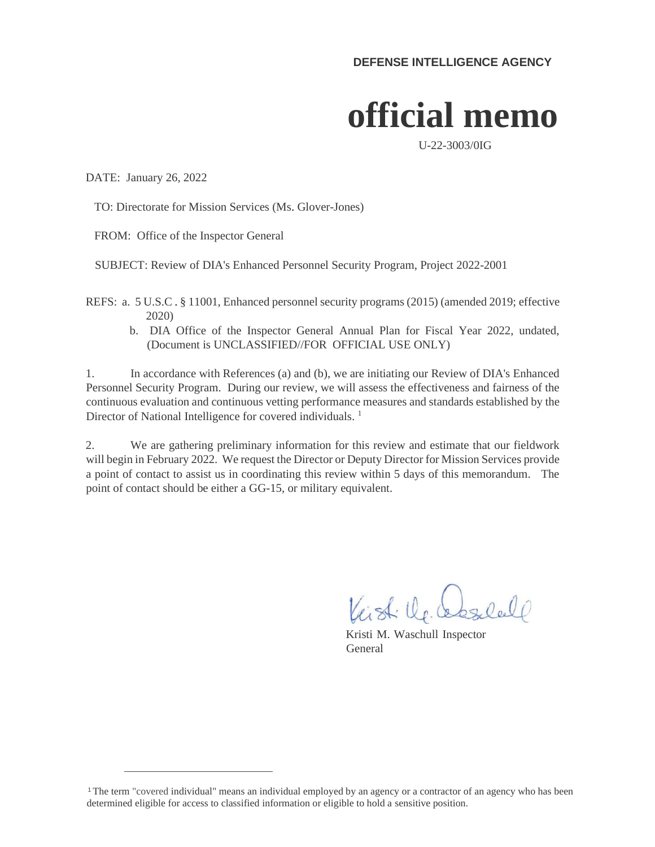## **official memo**

U-22-3003/0IG

DATE: January 26, 2022

TO: Directorate for Mission Services (Ms. Glover-Jones)

FROM: Office of the Inspector General

SUBJECT: Review of DIA's Enhanced Personnel Security Program, Project 2022-2001

REFS: a. 5 U.S.C . § 11001, Enhanced personnel security programs (2015) (amended 2019; effective 2020)

b. DIA Office of the Inspector General Annual Plan for Fiscal Year 2022, undated, (Document is UNCLASSIFIED//FOR OFFICIAL USE ONLY)

1. In accordance with References (a) and (b), we are initiating our Review of DIA's Enhanced Personnel Security Program. During our review, we will assess the effectiveness and fairness of the continuous evaluation and continuous vetting performance measures and standards established by the Director of National Intelligence for covered individuals.<sup>1</sup>

2. We are gathering preliminary information for this review and estimate that our fieldwork will begin in February 2022. We request the Director or Deputy Director for Mission Services provide a point of contact to assist us in coordinating this review within 5 days of this memorandum. The point of contact should be either a GG-15, or military equivalent.

Visti De Casalell

Kristi M. Waschull Inspector General

<sup>1</sup>The term "covered individual" means an individual employed by an agency or a contractor of an agency who has been determined eligible for access to classified information or eligible to hold a sensitive position.